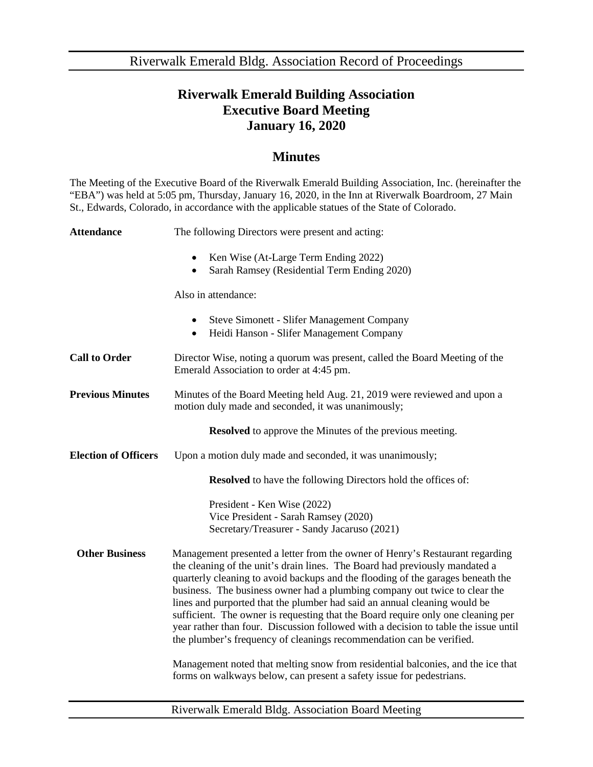Riverwalk Emerald Bldg. Association Record of Proceedings

## **Riverwalk Emerald Building Association Executive Board Meeting January 16, 2020**

## **Minutes**

The Meeting of the Executive Board of the Riverwalk Emerald Building Association, Inc. (hereinafter the "EBA") was held at 5:05 pm, Thursday, January 16, 2020, in the Inn at Riverwalk Boardroom, 27 Main St., Edwards, Colorado, in accordance with the applicable statues of the State of Colorado.

| The following Directors were present and acting:                                                                                                                                                                                                                                                                                                                                                                                                                                                                                                                                                                                                                                                                                                                                                                        |
|-------------------------------------------------------------------------------------------------------------------------------------------------------------------------------------------------------------------------------------------------------------------------------------------------------------------------------------------------------------------------------------------------------------------------------------------------------------------------------------------------------------------------------------------------------------------------------------------------------------------------------------------------------------------------------------------------------------------------------------------------------------------------------------------------------------------------|
| Ken Wise (At-Large Term Ending 2022)<br>$\bullet$<br>Sarah Ramsey (Residential Term Ending 2020)                                                                                                                                                                                                                                                                                                                                                                                                                                                                                                                                                                                                                                                                                                                        |
| Also in attendance:                                                                                                                                                                                                                                                                                                                                                                                                                                                                                                                                                                                                                                                                                                                                                                                                     |
| <b>Steve Simonett - Slifer Management Company</b><br>Heidi Hanson - Slifer Management Company<br>$\bullet$                                                                                                                                                                                                                                                                                                                                                                                                                                                                                                                                                                                                                                                                                                              |
| Director Wise, noting a quorum was present, called the Board Meeting of the<br>Emerald Association to order at 4:45 pm.                                                                                                                                                                                                                                                                                                                                                                                                                                                                                                                                                                                                                                                                                                 |
| Minutes of the Board Meeting held Aug. 21, 2019 were reviewed and upon a<br>motion duly made and seconded, it was unanimously;                                                                                                                                                                                                                                                                                                                                                                                                                                                                                                                                                                                                                                                                                          |
| <b>Resolved</b> to approve the Minutes of the previous meeting.                                                                                                                                                                                                                                                                                                                                                                                                                                                                                                                                                                                                                                                                                                                                                         |
| Upon a motion duly made and seconded, it was unanimously;                                                                                                                                                                                                                                                                                                                                                                                                                                                                                                                                                                                                                                                                                                                                                               |
| <b>Resolved</b> to have the following Directors hold the offices of:                                                                                                                                                                                                                                                                                                                                                                                                                                                                                                                                                                                                                                                                                                                                                    |
| President - Ken Wise (2022)<br>Vice President - Sarah Ramsey (2020)<br>Secretary/Treasurer - Sandy Jacaruso (2021)                                                                                                                                                                                                                                                                                                                                                                                                                                                                                                                                                                                                                                                                                                      |
| Management presented a letter from the owner of Henry's Restaurant regarding<br>the cleaning of the unit's drain lines. The Board had previously mandated a<br>quarterly cleaning to avoid backups and the flooding of the garages beneath the<br>business. The business owner had a plumbing company out twice to clear the<br>lines and purported that the plumber had said an annual cleaning would be<br>sufficient. The owner is requesting that the Board require only one cleaning per<br>year rather than four. Discussion followed with a decision to table the issue until<br>the plumber's frequency of cleanings recommendation can be verified.<br>Management noted that melting snow from residential balconies, and the ice that<br>forms on walkways below, can present a safety issue for pedestrians. |
|                                                                                                                                                                                                                                                                                                                                                                                                                                                                                                                                                                                                                                                                                                                                                                                                                         |

Riverwalk Emerald Bldg. Association Board Meeting